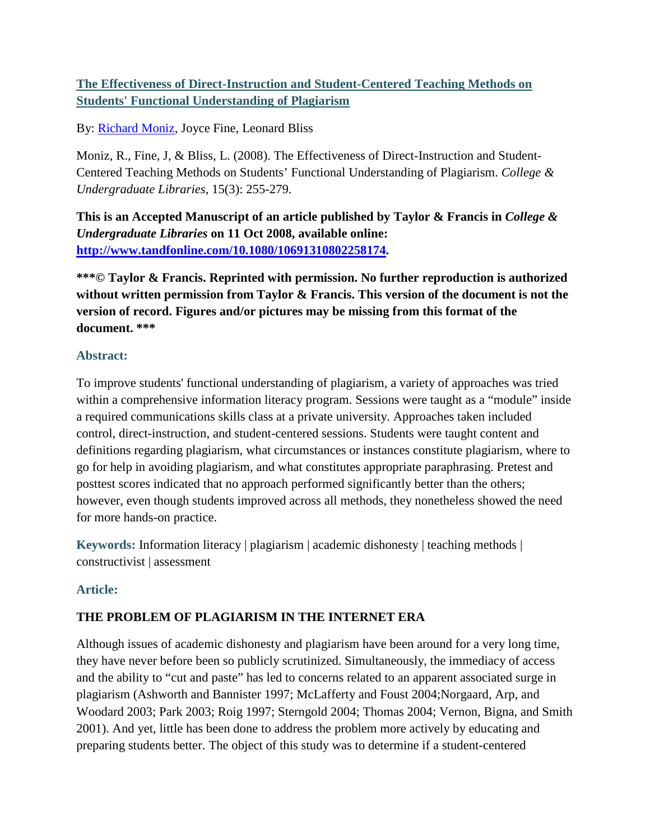# **The Effectiveness of Direct-Instruction and Student-Centered Teaching Methods on Students' Functional Understanding of Plagiarism**

By: [Richard Moniz,](http://libres.uncg.edu/ir/uncg/clist.aspx?id=8177) Joyce Fine, Leonard Bliss

Moniz, R., Fine, J, & Bliss, L. (2008). The Effectiveness of Direct-Instruction and Student-Centered Teaching Methods on Students' Functional Understanding of Plagiarism. *College & Undergraduate Libraries*, 15(3): 255-279.

**This is an Accepted Manuscript of an article published by Taylor & Francis in** *College & Undergraduate Libraries* **on 11 Oct 2008, available online: [http://www.tandfonline.com/10.1080/10691310802258174.](http://www.tandfonline.com/10.1080/10691310802258174)**

**\*\*\*© Taylor & Francis. Reprinted with permission. No further reproduction is authorized without written permission from Taylor & Francis. This version of the document is not the version of record. Figures and/or pictures may be missing from this format of the document. \*\*\***

### **Abstract:**

To improve students' functional understanding of plagiarism, a variety of approaches was tried within a comprehensive information literacy program. Sessions were taught as a "module" inside a required communications skills class at a private university. Approaches taken included control, direct-instruction, and student-centered sessions. Students were taught content and definitions regarding plagiarism, what circumstances or instances constitute plagiarism, where to go for help in avoiding plagiarism, and what constitutes appropriate paraphrasing. Pretest and posttest scores indicated that no approach performed significantly better than the others; however, even though students improved across all methods, they nonetheless showed the need for more hands-on practice.

**Keywords:** Information literacy | plagiarism | academic dishonesty | teaching methods | constructivist | assessment

# **Article:**

# **THE PROBLEM OF PLAGIARISM IN THE INTERNET ERA**

Although issues of academic dishonesty and plagiarism have been around for a very long time, they have never before been so publicly scrutinized. Simultaneously, the immediacy of access and the ability to "cut and paste" has led to concerns related to an apparent associated surge in plagiarism (Ashworth and Bannister 1997; McLafferty and Foust 2004;Norgaard, Arp, and Woodard 2003; Park 2003; Roig 1997; Sterngold 2004; Thomas 2004; Vernon, Bigna, and Smith 2001). And yet, little has been done to address the problem more actively by educating and preparing students better. The object of this study was to determine if a student-centered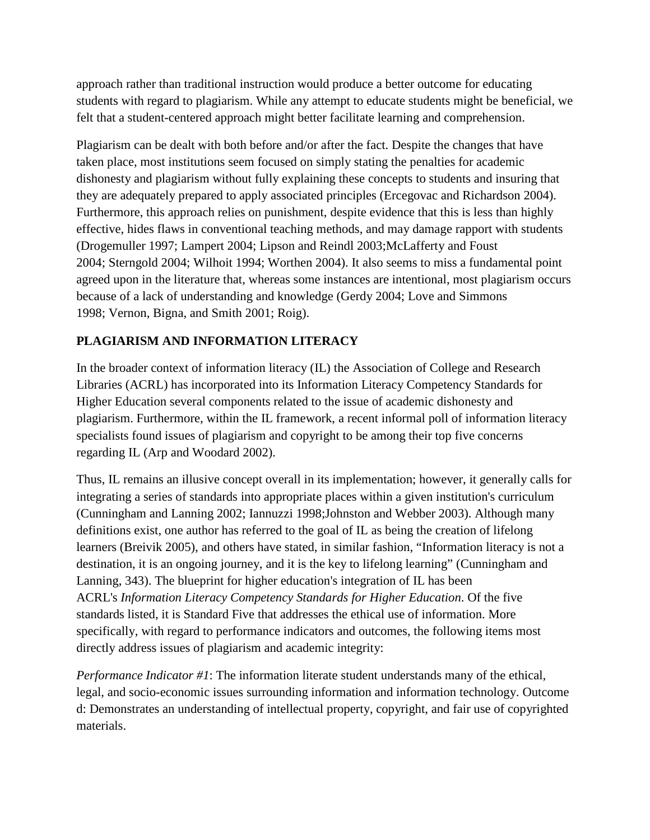approach rather than traditional instruction would produce a better outcome for educating students with regard to plagiarism. While any attempt to educate students might be beneficial, we felt that a student-centered approach might better facilitate learning and comprehension.

Plagiarism can be dealt with both before and/or after the fact. Despite the changes that have taken place, most institutions seem focused on simply stating the penalties for academic dishonesty and plagiarism without fully explaining these concepts to students and insuring that they are adequately prepared to apply associated principles (Ercegovac and Richardson 2004). Furthermore, this approach relies on punishment, despite evidence that this is less than highly effective, hides flaws in conventional teaching methods, and may damage rapport with students (Drogemuller 1997; Lampert 2004; Lipson and Reindl 2003;McLafferty and Foust 2004; Sterngold 2004; Wilhoit 1994; Worthen 2004). It also seems to miss a fundamental point agreed upon in the literature that, whereas some instances are intentional, most plagiarism occurs because of a lack of understanding and knowledge (Gerdy 2004; Love and Simmons 1998; Vernon, Bigna, and Smith 2001; Roig).

# **PLAGIARISM AND INFORMATION LITERACY**

In the broader context of information literacy (IL) the Association of College and Research Libraries (ACRL) has incorporated into its Information Literacy Competency Standards for Higher Education several components related to the issue of academic dishonesty and plagiarism. Furthermore, within the IL framework, a recent informal poll of information literacy specialists found issues of plagiarism and copyright to be among their top five concerns regarding IL (Arp and Woodard 2002).

Thus, IL remains an illusive concept overall in its implementation; however, it generally calls for integrating a series of standards into appropriate places within a given institution's curriculum (Cunningham and Lanning 2002; Iannuzzi 1998;Johnston and Webber 2003). Although many definitions exist, one author has referred to the goal of IL as being the creation of lifelong learners (Breivik 2005), and others have stated, in similar fashion, "Information literacy is not a destination, it is an ongoing journey, and it is the key to lifelong learning" (Cunningham and Lanning, 343). The blueprint for higher education's integration of IL has been ACRL's *Information Literacy Competency Standards for Higher Education*. Of the five standards listed, it is Standard Five that addresses the ethical use of information. More specifically, with regard to performance indicators and outcomes, the following items most directly address issues of plagiarism and academic integrity:

*Performance Indicator #1*: The information literate student understands many of the ethical, legal, and socio-economic issues surrounding information and information technology. Outcome d: Demonstrates an understanding of intellectual property, copyright, and fair use of copyrighted materials.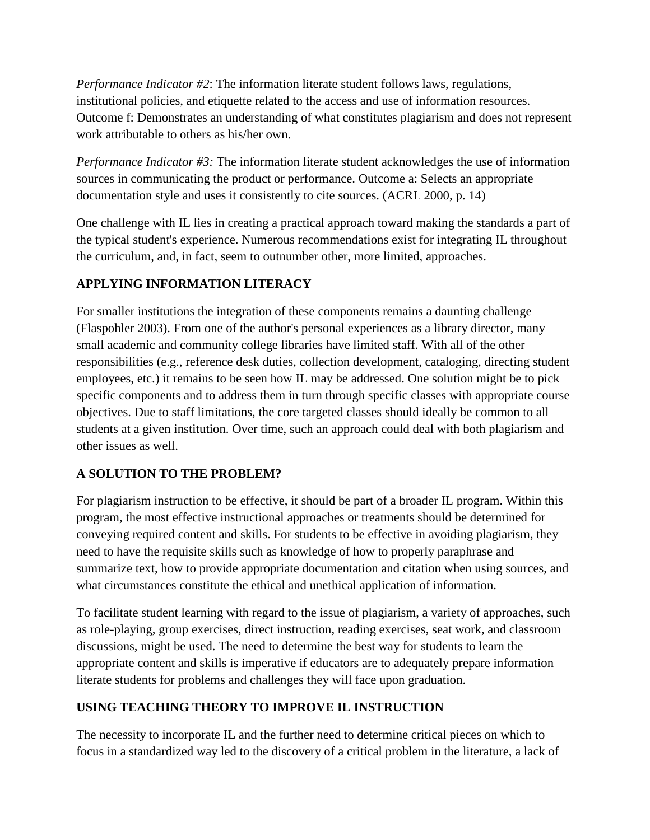*Performance Indicator #2*: The information literate student follows laws, regulations, institutional policies, and etiquette related to the access and use of information resources. Outcome f: Demonstrates an understanding of what constitutes plagiarism and does not represent work attributable to others as his/her own.

*Performance Indicator #3:* The information literate student acknowledges the use of information sources in communicating the product or performance. Outcome a: Selects an appropriate documentation style and uses it consistently to cite sources. (ACRL 2000, p. 14)

One challenge with IL lies in creating a practical approach toward making the standards a part of the typical student's experience. Numerous recommendations exist for integrating IL throughout the curriculum, and, in fact, seem to outnumber other, more limited, approaches.

# **APPLYING INFORMATION LITERACY**

For smaller institutions the integration of these components remains a daunting challenge (Flaspohler 2003). From one of the author's personal experiences as a library director, many small academic and community college libraries have limited staff. With all of the other responsibilities (e.g., reference desk duties, collection development, cataloging, directing student employees, etc.) it remains to be seen how IL may be addressed. One solution might be to pick specific components and to address them in turn through specific classes with appropriate course objectives. Due to staff limitations, the core targeted classes should ideally be common to all students at a given institution. Over time, such an approach could deal with both plagiarism and other issues as well.

# **A SOLUTION TO THE PROBLEM?**

For plagiarism instruction to be effective, it should be part of a broader IL program. Within this program, the most effective instructional approaches or treatments should be determined for conveying required content and skills. For students to be effective in avoiding plagiarism, they need to have the requisite skills such as knowledge of how to properly paraphrase and summarize text, how to provide appropriate documentation and citation when using sources, and what circumstances constitute the ethical and unethical application of information.

To facilitate student learning with regard to the issue of plagiarism, a variety of approaches, such as role-playing, group exercises, direct instruction, reading exercises, seat work, and classroom discussions, might be used. The need to determine the best way for students to learn the appropriate content and skills is imperative if educators are to adequately prepare information literate students for problems and challenges they will face upon graduation.

# **USING TEACHING THEORY TO IMPROVE IL INSTRUCTION**

The necessity to incorporate IL and the further need to determine critical pieces on which to focus in a standardized way led to the discovery of a critical problem in the literature, a lack of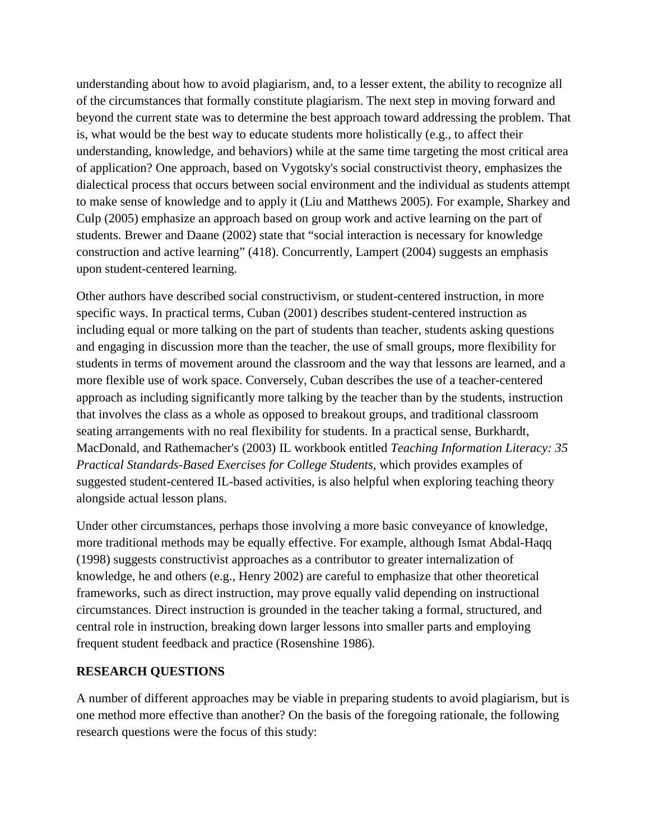understanding about how to avoid plagiarism, and, to a lesser extent, the ability to recognize all of the circumstances that formally constitute plagiarism. The next step in moving forward and beyond the current state was to determine the best approach toward addressing the problem. That is, what would be the best way to educate students more holistically (e.g., to affect their understanding, knowledge, and behaviors) while at the same time targeting the most critical area of application? One approach, based on Vygotsky's social constructivist theory, emphasizes the dialectical process that occurs between social environment and the individual as students attempt to make sense of knowledge and to apply it (Liu and Matthews 2005). For example, Sharkey and Culp (2005) emphasize an approach based on group work and active learning on the part of students. Brewer and Daane (2002) state that "social interaction is necessary for knowledge construction and active learning" (418). Concurrently, Lampert (2004) suggests an emphasis upon student-centered learning.

Other authors have described social constructivism, or student-centered instruction, in more specific ways. In practical terms, Cuban (2001) describes student-centered instruction as including equal or more talking on the part of students than teacher, students asking questions and engaging in discussion more than the teacher, the use of small groups, more flexibility for students in terms of movement around the classroom and the way that lessons are learned, and a more flexible use of work space. Conversely, Cuban describes the use of a teacher-centered approach as including significantly more talking by the teacher than by the students, instruction that involves the class as a whole as opposed to breakout groups, and traditional classroom seating arrangements with no real flexibility for students. In a practical sense, Burkhardt, MacDonald, and Rathemacher's (2003) IL workbook entitled *Teaching Information Literacy: 35 Practical Standards-Based Exercises for College Students*, which provides examples of suggested student-centered IL-based activities, is also helpful when exploring teaching theory alongside actual lesson plans.

Under other circumstances, perhaps those involving a more basic conveyance of knowledge, more traditional methods may be equally effective. For example, although Ismat Abdal-Haqq (1998) suggests constructivist approaches as a contributor to greater internalization of knowledge, he and others (e.g., Henry 2002) are careful to emphasize that other theoretical frameworks, such as direct instruction, may prove equally valid depending on instructional circumstances. Direct instruction is grounded in the teacher taking a formal, structured, and central role in instruction, breaking down larger lessons into smaller parts and employing frequent student feedback and practice (Rosenshine 1986).

### **RESEARCH QUESTIONS**

A number of different approaches may be viable in preparing students to avoid plagiarism, but is one method more effective than another? On the basis of the foregoing rationale, the following research questions were the focus of this study: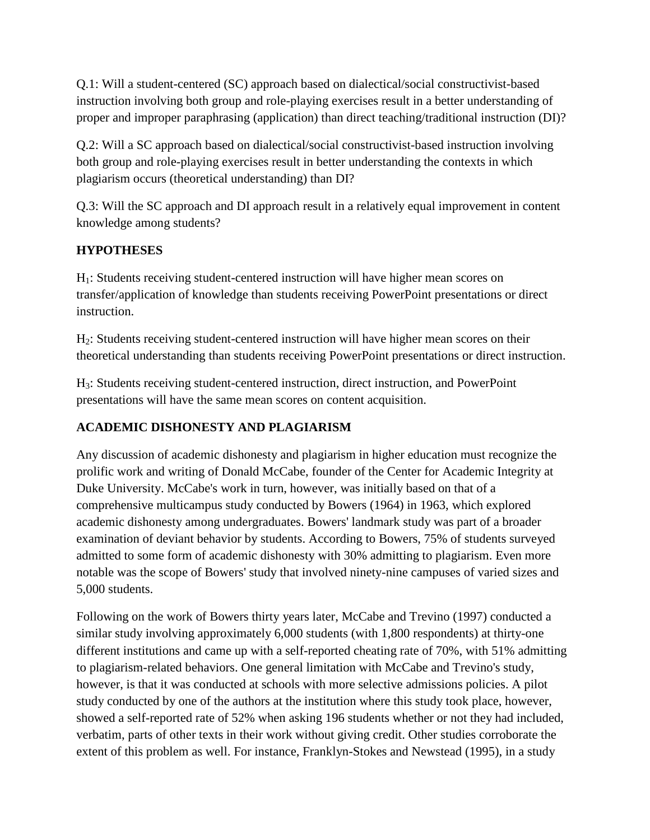Q.1: Will a student-centered (SC) approach based on dialectical/social constructivist-based instruction involving both group and role-playing exercises result in a better understanding of proper and improper paraphrasing (application) than direct teaching/traditional instruction (DI)?

Q.2: Will a SC approach based on dialectical/social constructivist-based instruction involving both group and role-playing exercises result in better understanding the contexts in which plagiarism occurs (theoretical understanding) than DI?

Q.3: Will the SC approach and DI approach result in a relatively equal improvement in content knowledge among students?

# **HYPOTHESES**

H1: Students receiving student-centered instruction will have higher mean scores on transfer/application of knowledge than students receiving PowerPoint presentations or direct instruction.

H2: Students receiving student-centered instruction will have higher mean scores on their theoretical understanding than students receiving PowerPoint presentations or direct instruction.

H3: Students receiving student-centered instruction, direct instruction, and PowerPoint presentations will have the same mean scores on content acquisition.

# **ACADEMIC DISHONESTY AND PLAGIARISM**

Any discussion of academic dishonesty and plagiarism in higher education must recognize the prolific work and writing of Donald McCabe, founder of the Center for Academic Integrity at Duke University. McCabe's work in turn, however, was initially based on that of a comprehensive multicampus study conducted by Bowers (1964) in 1963, which explored academic dishonesty among undergraduates. Bowers' landmark study was part of a broader examination of deviant behavior by students. According to Bowers, 75% of students surveyed admitted to some form of academic dishonesty with 30% admitting to plagiarism. Even more notable was the scope of Bowers' study that involved ninety-nine campuses of varied sizes and 5,000 students.

Following on the work of Bowers thirty years later, McCabe and Trevino (1997) conducted a similar study involving approximately 6,000 students (with 1,800 respondents) at thirty-one different institutions and came up with a self-reported cheating rate of 70%, with 51% admitting to plagiarism-related behaviors. One general limitation with McCabe and Trevino's study, however, is that it was conducted at schools with more selective admissions policies. A pilot study conducted by one of the authors at the institution where this study took place, however, showed a self-reported rate of 52% when asking 196 students whether or not they had included, verbatim, parts of other texts in their work without giving credit. Other studies corroborate the extent of this problem as well. For instance, Franklyn-Stokes and Newstead (1995), in a study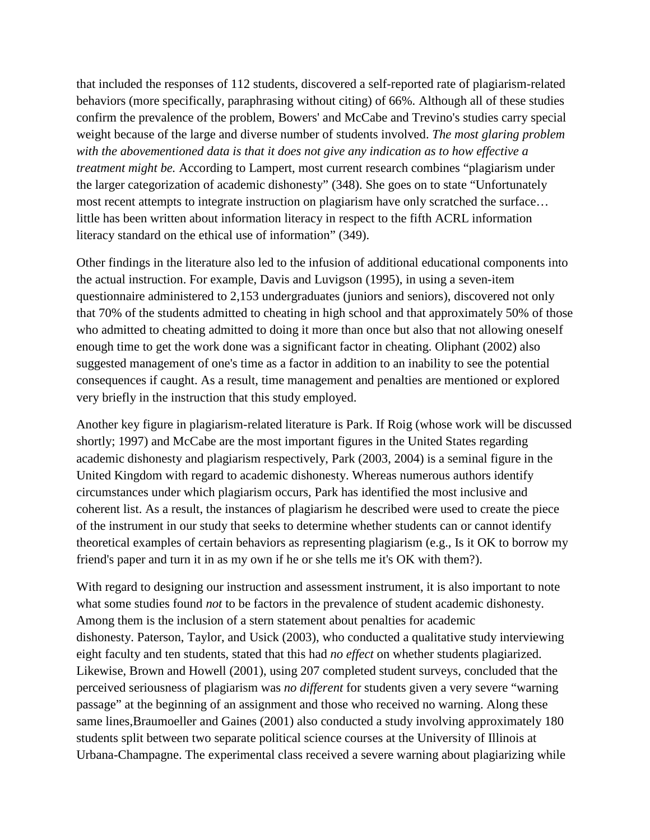that included the responses of 112 students, discovered a self-reported rate of plagiarism-related behaviors (more specifically, paraphrasing without citing) of 66%. Although all of these studies confirm the prevalence of the problem, Bowers' and McCabe and Trevino's studies carry special weight because of the large and diverse number of students involved. *The most glaring problem with the abovementioned data is that it does not give any indication as to how effective a treatment might be.* According to Lampert, most current research combines "plagiarism under the larger categorization of academic dishonesty" (348). She goes on to state "Unfortunately most recent attempts to integrate instruction on plagiarism have only scratched the surface… little has been written about information literacy in respect to the fifth ACRL information literacy standard on the ethical use of information" (349).

Other findings in the literature also led to the infusion of additional educational components into the actual instruction. For example, Davis and Luvigson (1995), in using a seven-item questionnaire administered to 2,153 undergraduates (juniors and seniors), discovered not only that 70% of the students admitted to cheating in high school and that approximately 50% of those who admitted to cheating admitted to doing it more than once but also that not allowing oneself enough time to get the work done was a significant factor in cheating. Oliphant (2002) also suggested management of one's time as a factor in addition to an inability to see the potential consequences if caught. As a result, time management and penalties are mentioned or explored very briefly in the instruction that this study employed.

Another key figure in plagiarism-related literature is Park. If Roig (whose work will be discussed shortly; 1997) and McCabe are the most important figures in the United States regarding academic dishonesty and plagiarism respectively, Park (2003, 2004) is a seminal figure in the United Kingdom with regard to academic dishonesty. Whereas numerous authors identify circumstances under which plagiarism occurs, Park has identified the most inclusive and coherent list. As a result, the instances of plagiarism he described were used to create the piece of the instrument in our study that seeks to determine whether students can or cannot identify theoretical examples of certain behaviors as representing plagiarism (e.g., Is it OK to borrow my friend's paper and turn it in as my own if he or she tells me it's OK with them?).

With regard to designing our instruction and assessment instrument, it is also important to note what some studies found *not* to be factors in the prevalence of student academic dishonesty. Among them is the inclusion of a stern statement about penalties for academic dishonesty. Paterson, Taylor, and Usick (2003), who conducted a qualitative study interviewing eight faculty and ten students, stated that this had *no effect* on whether students plagiarized. Likewise, Brown and Howell (2001), using 207 completed student surveys, concluded that the perceived seriousness of plagiarism was *no different* for students given a very severe "warning passage" at the beginning of an assignment and those who received no warning. Along these same lines,Braumoeller and Gaines (2001) also conducted a study involving approximately 180 students split between two separate political science courses at the University of Illinois at Urbana-Champagne. The experimental class received a severe warning about plagiarizing while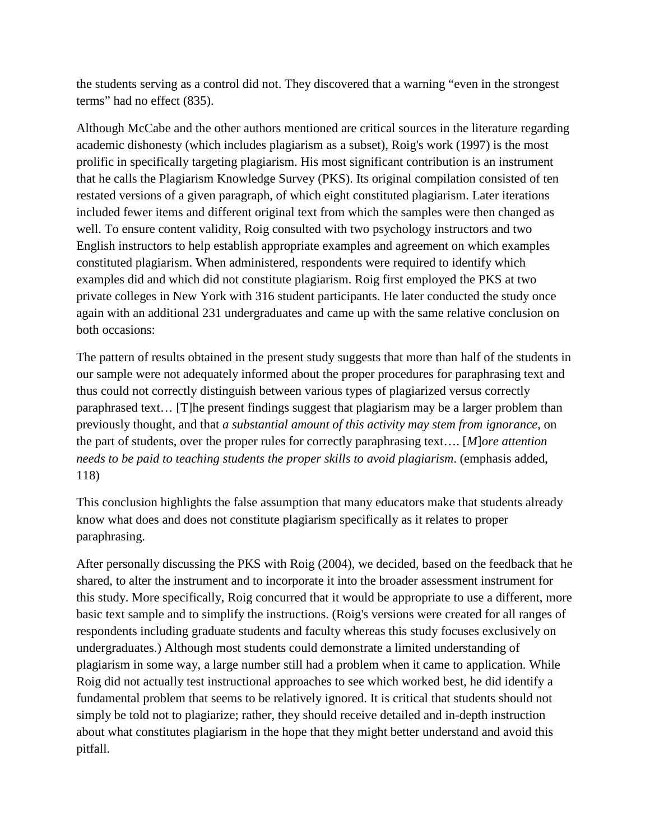the students serving as a control did not. They discovered that a warning "even in the strongest terms" had no effect (835).

Although McCabe and the other authors mentioned are critical sources in the literature regarding academic dishonesty (which includes plagiarism as a subset), Roig's work (1997) is the most prolific in specifically targeting plagiarism. His most significant contribution is an instrument that he calls the Plagiarism Knowledge Survey (PKS). Its original compilation consisted of ten restated versions of a given paragraph, of which eight constituted plagiarism. Later iterations included fewer items and different original text from which the samples were then changed as well. To ensure content validity, Roig consulted with two psychology instructors and two English instructors to help establish appropriate examples and agreement on which examples constituted plagiarism. When administered, respondents were required to identify which examples did and which did not constitute plagiarism. Roig first employed the PKS at two private colleges in New York with 316 student participants. He later conducted the study once again with an additional 231 undergraduates and came up with the same relative conclusion on both occasions:

The pattern of results obtained in the present study suggests that more than half of the students in our sample were not adequately informed about the proper procedures for paraphrasing text and thus could not correctly distinguish between various types of plagiarized versus correctly paraphrased text… [T]he present findings suggest that plagiarism may be a larger problem than previously thought, and that *a substantial amount of this activity may stem from ignorance*, on the part of students, over the proper rules for correctly paraphrasing text…. [*M*]*ore attention needs to be paid to teaching students the proper skills to avoid plagiarism*. (emphasis added, 118)

This conclusion highlights the false assumption that many educators make that students already know what does and does not constitute plagiarism specifically as it relates to proper paraphrasing.

After personally discussing the PKS with Roig (2004), we decided, based on the feedback that he shared, to alter the instrument and to incorporate it into the broader assessment instrument for this study. More specifically, Roig concurred that it would be appropriate to use a different, more basic text sample and to simplify the instructions. (Roig's versions were created for all ranges of respondents including graduate students and faculty whereas this study focuses exclusively on undergraduates.) Although most students could demonstrate a limited understanding of plagiarism in some way, a large number still had a problem when it came to application. While Roig did not actually test instructional approaches to see which worked best, he did identify a fundamental problem that seems to be relatively ignored. It is critical that students should not simply be told not to plagiarize; rather, they should receive detailed and in-depth instruction about what constitutes plagiarism in the hope that they might better understand and avoid this pitfall.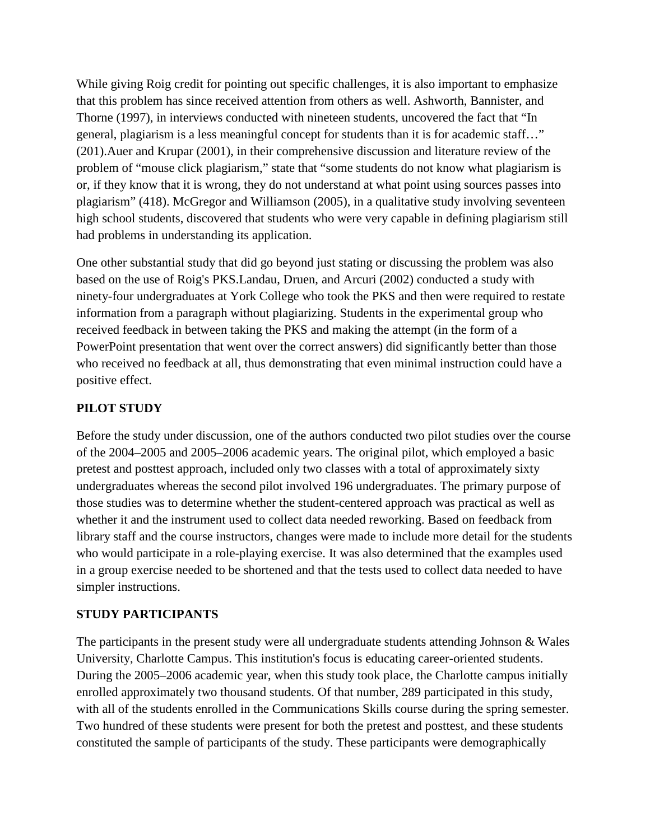While giving Roig credit for pointing out specific challenges, it is also important to emphasize that this problem has since received attention from others as well. Ashworth, Bannister, and Thorne (1997), in interviews conducted with nineteen students, uncovered the fact that "In general, plagiarism is a less meaningful concept for students than it is for academic staff…" (201).Auer and Krupar (2001), in their comprehensive discussion and literature review of the problem of "mouse click plagiarism," state that "some students do not know what plagiarism is or, if they know that it is wrong, they do not understand at what point using sources passes into plagiarism" (418). McGregor and Williamson (2005), in a qualitative study involving seventeen high school students, discovered that students who were very capable in defining plagiarism still had problems in understanding its application.

One other substantial study that did go beyond just stating or discussing the problem was also based on the use of Roig's PKS.Landau, Druen, and Arcuri (2002) conducted a study with ninety-four undergraduates at York College who took the PKS and then were required to restate information from a paragraph without plagiarizing. Students in the experimental group who received feedback in between taking the PKS and making the attempt (in the form of a PowerPoint presentation that went over the correct answers) did significantly better than those who received no feedback at all, thus demonstrating that even minimal instruction could have a positive effect.

# **PILOT STUDY**

Before the study under discussion, one of the authors conducted two pilot studies over the course of the 2004–2005 and 2005–2006 academic years. The original pilot, which employed a basic pretest and posttest approach, included only two classes with a total of approximately sixty undergraduates whereas the second pilot involved 196 undergraduates. The primary purpose of those studies was to determine whether the student-centered approach was practical as well as whether it and the instrument used to collect data needed reworking. Based on feedback from library staff and the course instructors, changes were made to include more detail for the students who would participate in a role-playing exercise. It was also determined that the examples used in a group exercise needed to be shortened and that the tests used to collect data needed to have simpler instructions.

### **STUDY PARTICIPANTS**

The participants in the present study were all undergraduate students attending Johnson & Wales University, Charlotte Campus. This institution's focus is educating career-oriented students. During the 2005–2006 academic year, when this study took place, the Charlotte campus initially enrolled approximately two thousand students. Of that number, 289 participated in this study, with all of the students enrolled in the Communications Skills course during the spring semester. Two hundred of these students were present for both the pretest and posttest, and these students constituted the sample of participants of the study. These participants were demographically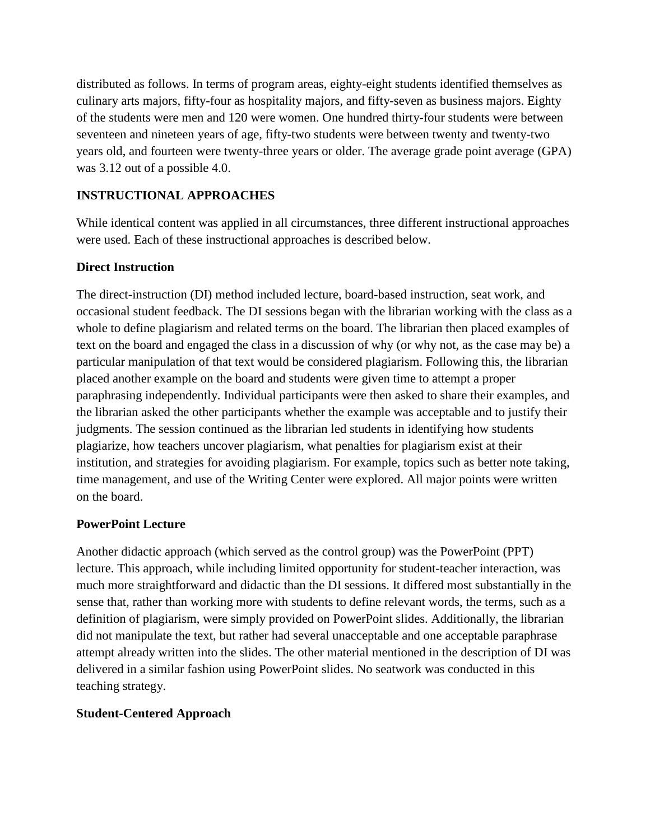distributed as follows. In terms of program areas, eighty-eight students identified themselves as culinary arts majors, fifty-four as hospitality majors, and fifty-seven as business majors. Eighty of the students were men and 120 were women. One hundred thirty-four students were between seventeen and nineteen years of age, fifty-two students were between twenty and twenty-two years old, and fourteen were twenty-three years or older. The average grade point average (GPA) was 3.12 out of a possible 4.0.

### **INSTRUCTIONAL APPROACHES**

While identical content was applied in all circumstances, three different instructional approaches were used. Each of these instructional approaches is described below.

### **Direct Instruction**

The direct-instruction (DI) method included lecture, board-based instruction, seat work, and occasional student feedback. The DI sessions began with the librarian working with the class as a whole to define plagiarism and related terms on the board. The librarian then placed examples of text on the board and engaged the class in a discussion of why (or why not, as the case may be) a particular manipulation of that text would be considered plagiarism. Following this, the librarian placed another example on the board and students were given time to attempt a proper paraphrasing independently. Individual participants were then asked to share their examples, and the librarian asked the other participants whether the example was acceptable and to justify their judgments. The session continued as the librarian led students in identifying how students plagiarize, how teachers uncover plagiarism, what penalties for plagiarism exist at their institution, and strategies for avoiding plagiarism. For example, topics such as better note taking, time management, and use of the Writing Center were explored. All major points were written on the board.

### **PowerPoint Lecture**

Another didactic approach (which served as the control group) was the PowerPoint (PPT) lecture. This approach, while including limited opportunity for student-teacher interaction, was much more straightforward and didactic than the DI sessions. It differed most substantially in the sense that, rather than working more with students to define relevant words, the terms, such as a definition of plagiarism, were simply provided on PowerPoint slides. Additionally, the librarian did not manipulate the text, but rather had several unacceptable and one acceptable paraphrase attempt already written into the slides. The other material mentioned in the description of DI was delivered in a similar fashion using PowerPoint slides. No seatwork was conducted in this teaching strategy.

### **Student-Centered Approach**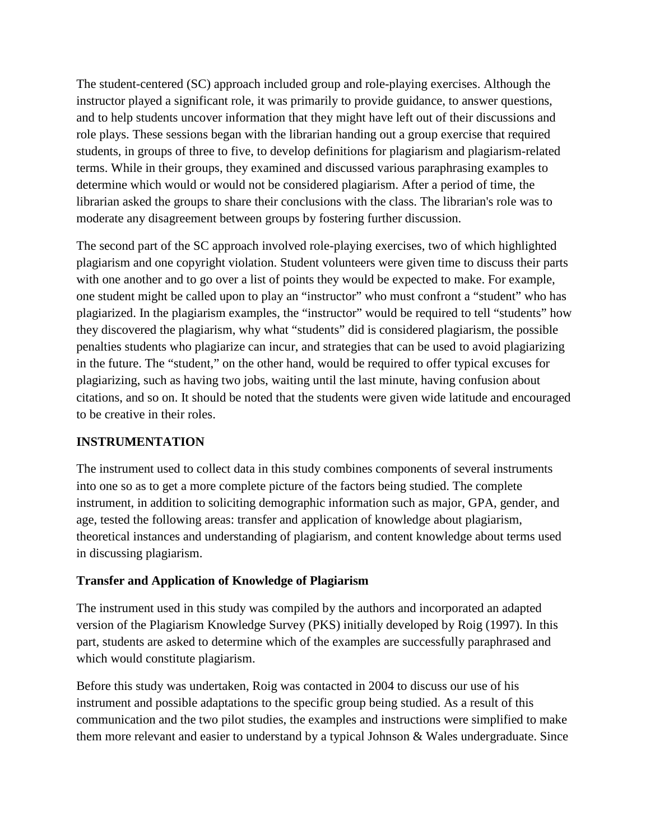The student-centered (SC) approach included group and role-playing exercises. Although the instructor played a significant role, it was primarily to provide guidance, to answer questions, and to help students uncover information that they might have left out of their discussions and role plays. These sessions began with the librarian handing out a group exercise that required students, in groups of three to five, to develop definitions for plagiarism and plagiarism-related terms. While in their groups, they examined and discussed various paraphrasing examples to determine which would or would not be considered plagiarism. After a period of time, the librarian asked the groups to share their conclusions with the class. The librarian's role was to moderate any disagreement between groups by fostering further discussion.

The second part of the SC approach involved role-playing exercises, two of which highlighted plagiarism and one copyright violation. Student volunteers were given time to discuss their parts with one another and to go over a list of points they would be expected to make. For example, one student might be called upon to play an "instructor" who must confront a "student" who has plagiarized. In the plagiarism examples, the "instructor" would be required to tell "students" how they discovered the plagiarism, why what "students" did is considered plagiarism, the possible penalties students who plagiarize can incur, and strategies that can be used to avoid plagiarizing in the future. The "student," on the other hand, would be required to offer typical excuses for plagiarizing, such as having two jobs, waiting until the last minute, having confusion about citations, and so on. It should be noted that the students were given wide latitude and encouraged to be creative in their roles.

### **INSTRUMENTATION**

The instrument used to collect data in this study combines components of several instruments into one so as to get a more complete picture of the factors being studied. The complete instrument, in addition to soliciting demographic information such as major, GPA, gender, and age, tested the following areas: transfer and application of knowledge about plagiarism, theoretical instances and understanding of plagiarism, and content knowledge about terms used in discussing plagiarism.

### **Transfer and Application of Knowledge of Plagiarism**

The instrument used in this study was compiled by the authors and incorporated an adapted version of the Plagiarism Knowledge Survey (PKS) initially developed by Roig (1997). In this part, students are asked to determine which of the examples are successfully paraphrased and which would constitute plagiarism.

Before this study was undertaken, Roig was contacted in 2004 to discuss our use of his instrument and possible adaptations to the specific group being studied. As a result of this communication and the two pilot studies, the examples and instructions were simplified to make them more relevant and easier to understand by a typical Johnson & Wales undergraduate. Since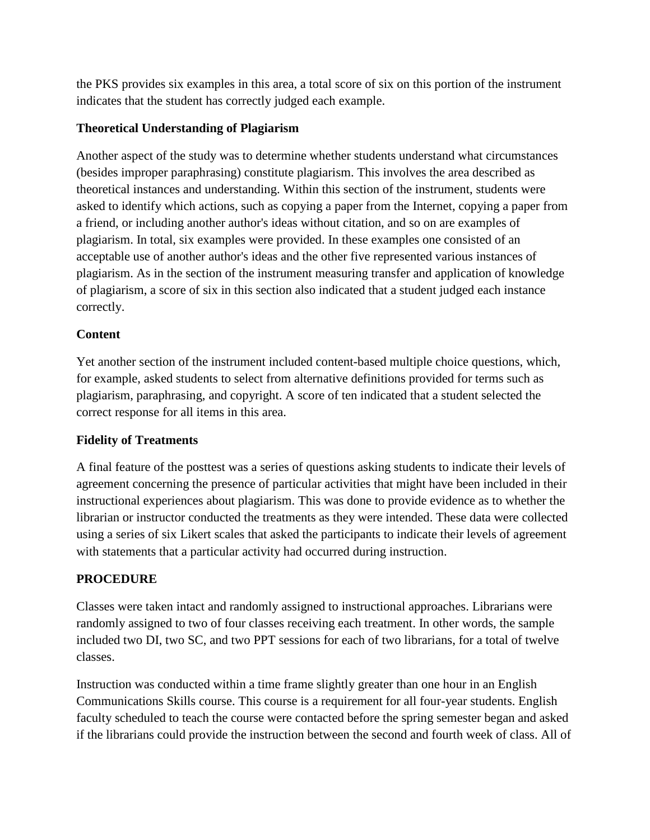the PKS provides six examples in this area, a total score of six on this portion of the instrument indicates that the student has correctly judged each example.

### **Theoretical Understanding of Plagiarism**

Another aspect of the study was to determine whether students understand what circumstances (besides improper paraphrasing) constitute plagiarism. This involves the area described as theoretical instances and understanding. Within this section of the instrument, students were asked to identify which actions, such as copying a paper from the Internet, copying a paper from a friend, or including another author's ideas without citation, and so on are examples of plagiarism. In total, six examples were provided. In these examples one consisted of an acceptable use of another author's ideas and the other five represented various instances of plagiarism. As in the section of the instrument measuring transfer and application of knowledge of plagiarism, a score of six in this section also indicated that a student judged each instance correctly.

### **Content**

Yet another section of the instrument included content-based multiple choice questions, which, for example, asked students to select from alternative definitions provided for terms such as plagiarism, paraphrasing, and copyright. A score of ten indicated that a student selected the correct response for all items in this area.

# **Fidelity of Treatments**

A final feature of the posttest was a series of questions asking students to indicate their levels of agreement concerning the presence of particular activities that might have been included in their instructional experiences about plagiarism. This was done to provide evidence as to whether the librarian or instructor conducted the treatments as they were intended. These data were collected using a series of six Likert scales that asked the participants to indicate their levels of agreement with statements that a particular activity had occurred during instruction.

### **PROCEDURE**

Classes were taken intact and randomly assigned to instructional approaches. Librarians were randomly assigned to two of four classes receiving each treatment. In other words, the sample included two DI, two SC, and two PPT sessions for each of two librarians, for a total of twelve classes.

Instruction was conducted within a time frame slightly greater than one hour in an English Communications Skills course. This course is a requirement for all four-year students. English faculty scheduled to teach the course were contacted before the spring semester began and asked if the librarians could provide the instruction between the second and fourth week of class. All of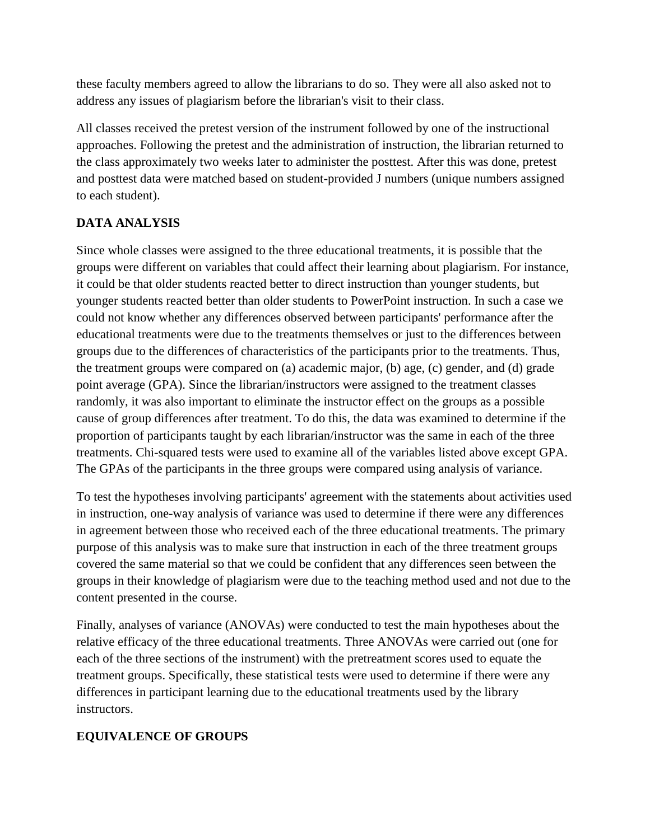these faculty members agreed to allow the librarians to do so. They were all also asked not to address any issues of plagiarism before the librarian's visit to their class.

All classes received the pretest version of the instrument followed by one of the instructional approaches. Following the pretest and the administration of instruction, the librarian returned to the class approximately two weeks later to administer the posttest. After this was done, pretest and posttest data were matched based on student-provided J numbers (unique numbers assigned to each student).

# **DATA ANALYSIS**

Since whole classes were assigned to the three educational treatments, it is possible that the groups were different on variables that could affect their learning about plagiarism. For instance, it could be that older students reacted better to direct instruction than younger students, but younger students reacted better than older students to PowerPoint instruction. In such a case we could not know whether any differences observed between participants' performance after the educational treatments were due to the treatments themselves or just to the differences between groups due to the differences of characteristics of the participants prior to the treatments. Thus, the treatment groups were compared on (a) academic major, (b) age, (c) gender, and (d) grade point average (GPA). Since the librarian/instructors were assigned to the treatment classes randomly, it was also important to eliminate the instructor effect on the groups as a possible cause of group differences after treatment. To do this, the data was examined to determine if the proportion of participants taught by each librarian/instructor was the same in each of the three treatments. Chi-squared tests were used to examine all of the variables listed above except GPA. The GPAs of the participants in the three groups were compared using analysis of variance.

To test the hypotheses involving participants' agreement with the statements about activities used in instruction, one-way analysis of variance was used to determine if there were any differences in agreement between those who received each of the three educational treatments. The primary purpose of this analysis was to make sure that instruction in each of the three treatment groups covered the same material so that we could be confident that any differences seen between the groups in their knowledge of plagiarism were due to the teaching method used and not due to the content presented in the course.

Finally, analyses of variance (ANOVAs) were conducted to test the main hypotheses about the relative efficacy of the three educational treatments. Three ANOVAs were carried out (one for each of the three sections of the instrument) with the pretreatment scores used to equate the treatment groups. Specifically, these statistical tests were used to determine if there were any differences in participant learning due to the educational treatments used by the library instructors.

# **EQUIVALENCE OF GROUPS**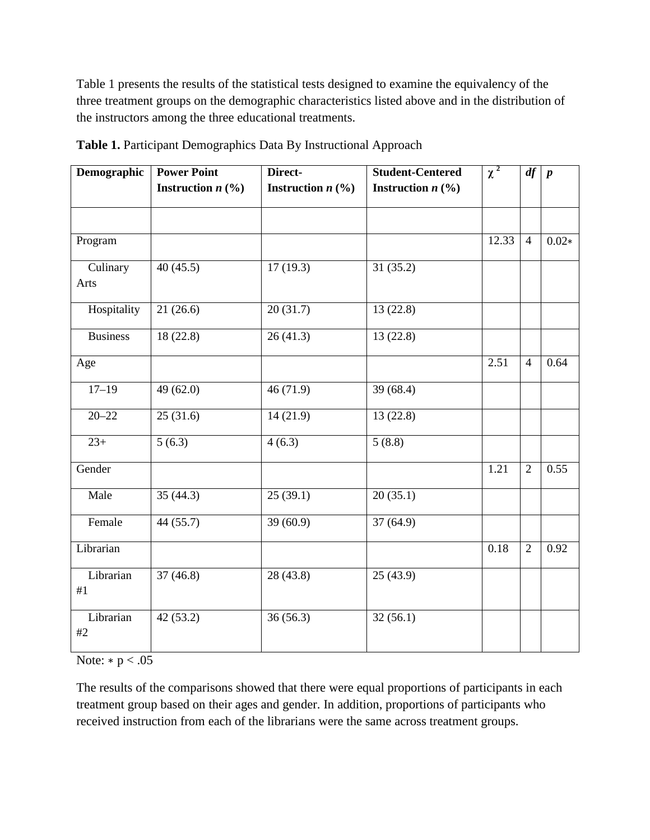Table 1 presents the results of the statistical tests designed to examine the equivalency of the three treatment groups on the demographic characteristics listed above and in the distribution of the instructors among the three educational treatments.

| Demographic      | <b>Power Point</b><br>Instruction $n$ (%) | Direct-<br>Instruction $n$ (%) | <b>Student-Centered</b><br>Instruction $n$ (%) | $\chi^2$ | df             | $\boldsymbol{p}$ |
|------------------|-------------------------------------------|--------------------------------|------------------------------------------------|----------|----------------|------------------|
|                  |                                           |                                |                                                | 12.33    | $\overline{4}$ | $0.02*$          |
| Program          |                                           |                                |                                                |          |                |                  |
| Culinary<br>Arts | 40(45.5)                                  | 17(19.3)                       | 31(35.2)                                       |          |                |                  |
| Hospitality      | 21(26.6)                                  | 20(31.7)                       | 13(22.8)                                       |          |                |                  |
| <b>Business</b>  | 18(22.8)                                  | 26(41.3)                       | 13(22.8)                                       |          |                |                  |
| Age              |                                           |                                |                                                | 2.51     | $\overline{4}$ | 0.64             |
| $17 - 19$        | 49 (62.0)                                 | 46(71.9)                       | 39 (68.4)                                      |          |                |                  |
| $20 - 22$        | 25(31.6)                                  | 14(21.9)                       | 13(22.8)                                       |          |                |                  |
| $23+$            | 5(6.3)                                    | 4(6.3)                         | 5(8.8)                                         |          |                |                  |
| Gender           |                                           |                                |                                                | 1.21     | $\overline{2}$ | 0.55             |
| Male             | 35(44.3)                                  | 25(39.1)                       | 20(35.1)                                       |          |                |                  |
| Female           | 44(55.7)                                  | 39(60.9)                       | 37(64.9)                                       |          |                |                  |
| Librarian        |                                           |                                |                                                | 0.18     | $\overline{2}$ | 0.92             |
| Librarian<br>#1  | 37(46.8)                                  | 28 (43.8)                      | 25(43.9)                                       |          |                |                  |
| Librarian<br>#2  | 42 (53.2)                                 | 36(56.3)                       | 32(56.1)                                       |          |                |                  |

**Table 1.** Participant Demographics Data By Instructional Approach

Note:  $* p < .05$ 

The results of the comparisons showed that there were equal proportions of participants in each treatment group based on their ages and gender. In addition, proportions of participants who received instruction from each of the librarians were the same across treatment groups.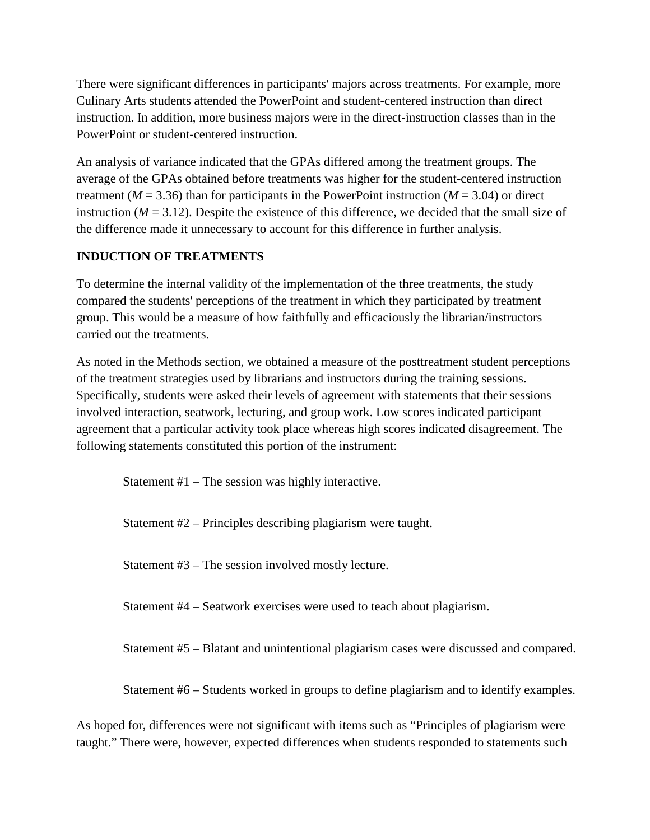There were significant differences in participants' majors across treatments. For example, more Culinary Arts students attended the PowerPoint and student-centered instruction than direct instruction. In addition, more business majors were in the direct-instruction classes than in the PowerPoint or student-centered instruction.

An analysis of variance indicated that the GPAs differed among the treatment groups. The average of the GPAs obtained before treatments was higher for the student-centered instruction treatment ( $M = 3.36$ ) than for participants in the PowerPoint instruction ( $M = 3.04$ ) or direct instruction ( $M = 3.12$ ). Despite the existence of this difference, we decided that the small size of the difference made it unnecessary to account for this difference in further analysis.

# **INDUCTION OF TREATMENTS**

To determine the internal validity of the implementation of the three treatments, the study compared the students' perceptions of the treatment in which they participated by treatment group. This would be a measure of how faithfully and efficaciously the librarian/instructors carried out the treatments.

As noted in the Methods section, we obtained a measure of the posttreatment student perceptions of the treatment strategies used by librarians and instructors during the training sessions. Specifically, students were asked their levels of agreement with statements that their sessions involved interaction, seatwork, lecturing, and group work. Low scores indicated participant agreement that a particular activity took place whereas high scores indicated disagreement. The following statements constituted this portion of the instrument:

Statement #1 – The session was highly interactive.

Statement #2 – Principles describing plagiarism were taught.

Statement #3 – The session involved mostly lecture.

Statement #4 – Seatwork exercises were used to teach about plagiarism.

Statement #5 – Blatant and unintentional plagiarism cases were discussed and compared.

Statement #6 – Students worked in groups to define plagiarism and to identify examples.

As hoped for, differences were not significant with items such as "Principles of plagiarism were taught." There were, however, expected differences when students responded to statements such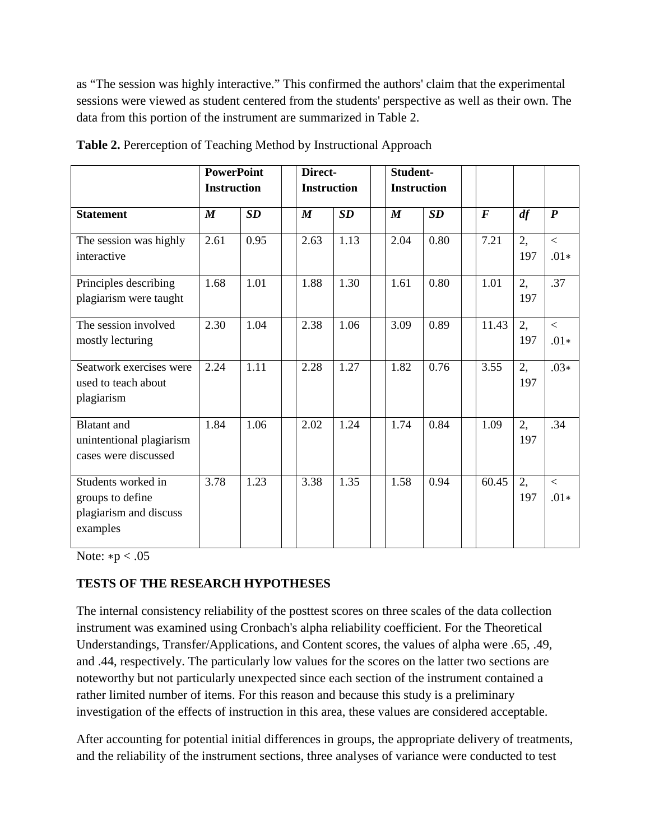as "The session was highly interactive." This confirmed the authors' claim that the experimental sessions were viewed as student centered from the students' perspective as well as their own. The data from this portion of the instrument are summarized in Table 2.

|                                                                              | <b>PowerPoint</b><br><b>Instruction</b> |      | Direct-<br><b>Instruction</b> |      | Student-<br><b>Instruction</b> |                  |      |                  |           |                  |
|------------------------------------------------------------------------------|-----------------------------------------|------|-------------------------------|------|--------------------------------|------------------|------|------------------|-----------|------------------|
| <b>Statement</b>                                                             | $\boldsymbol{M}$                        | SD   | $\boldsymbol{M}$              | SD   |                                | $\boldsymbol{M}$ | SD   | $\boldsymbol{F}$ | df        | $\boldsymbol{P}$ |
| The session was highly<br>interactive                                        | 2.61                                    | 0.95 | 2.63                          | 1.13 |                                | 2.04             | 0.80 | 7.21             | 2,<br>197 | $\lt$<br>$.01*$  |
| Principles describing<br>plagiarism were taught                              | 1.68                                    | 1.01 | 1.88                          | 1.30 |                                | 1.61             | 0.80 | 1.01             | 2,<br>197 | .37              |
| The session involved<br>mostly lecturing                                     | 2.30                                    | 1.04 | 2.38                          | 1.06 |                                | 3.09             | 0.89 | 11.43            | 2,<br>197 | $\lt$<br>$.01*$  |
| Seatwork exercises were<br>used to teach about<br>plagiarism                 | 2.24                                    | 1.11 | 2.28                          | 1.27 |                                | 1.82             | 0.76 | 3.55             | 2,<br>197 | $.03*$           |
| <b>Blatant</b> and<br>unintentional plagiarism<br>cases were discussed       | 1.84                                    | 1.06 | 2.02                          | 1.24 |                                | 1.74             | 0.84 | 1.09             | 2,<br>197 | .34              |
| Students worked in<br>groups to define<br>plagiarism and discuss<br>examples | 3.78                                    | 1.23 | 3.38                          | 1.35 |                                | 1.58             | 0.94 | 60.45            | 2,<br>197 | $\lt$<br>$.01*$  |

|  |  | Table 2. Pererception of Teaching Method by Instructional Approach |  |
|--|--|--------------------------------------------------------------------|--|
|  |  |                                                                    |  |

Note:  $*p < .05$ 

# **TESTS OF THE RESEARCH HYPOTHESES**

The internal consistency reliability of the posttest scores on three scales of the data collection instrument was examined using Cronbach's alpha reliability coefficient. For the Theoretical Understandings, Transfer/Applications, and Content scores, the values of alpha were .65, .49, and .44, respectively. The particularly low values for the scores on the latter two sections are noteworthy but not particularly unexpected since each section of the instrument contained a rather limited number of items. For this reason and because this study is a preliminary investigation of the effects of instruction in this area, these values are considered acceptable.

After accounting for potential initial differences in groups, the appropriate delivery of treatments, and the reliability of the instrument sections, three analyses of variance were conducted to test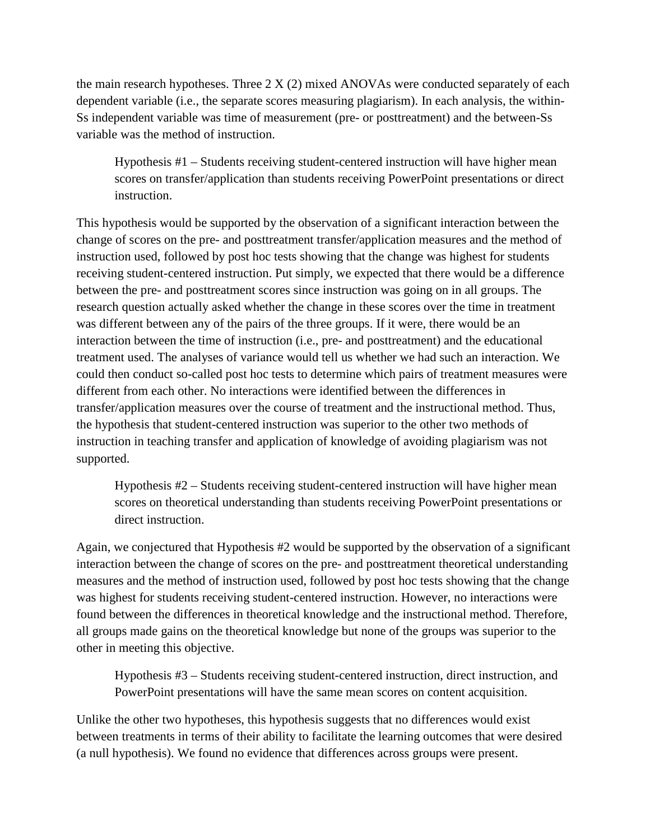the main research hypotheses. Three 2 X (2) mixed ANOVAs were conducted separately of each dependent variable (i.e., the separate scores measuring plagiarism). In each analysis, the within-Ss independent variable was time of measurement (pre- or posttreatment) and the between-Ss variable was the method of instruction.

Hypothesis #1 – Students receiving student-centered instruction will have higher mean scores on transfer/application than students receiving PowerPoint presentations or direct instruction.

This hypothesis would be supported by the observation of a significant interaction between the change of scores on the pre- and posttreatment transfer/application measures and the method of instruction used, followed by post hoc tests showing that the change was highest for students receiving student-centered instruction. Put simply, we expected that there would be a difference between the pre- and posttreatment scores since instruction was going on in all groups. The research question actually asked whether the change in these scores over the time in treatment was different between any of the pairs of the three groups. If it were, there would be an interaction between the time of instruction (i.e., pre- and posttreatment) and the educational treatment used. The analyses of variance would tell us whether we had such an interaction. We could then conduct so-called post hoc tests to determine which pairs of treatment measures were different from each other. No interactions were identified between the differences in transfer/application measures over the course of treatment and the instructional method. Thus, the hypothesis that student-centered instruction was superior to the other two methods of instruction in teaching transfer and application of knowledge of avoiding plagiarism was not supported.

Hypothesis #2 – Students receiving student-centered instruction will have higher mean scores on theoretical understanding than students receiving PowerPoint presentations or direct instruction.

Again, we conjectured that Hypothesis #2 would be supported by the observation of a significant interaction between the change of scores on the pre- and posttreatment theoretical understanding measures and the method of instruction used, followed by post hoc tests showing that the change was highest for students receiving student-centered instruction. However, no interactions were found between the differences in theoretical knowledge and the instructional method. Therefore, all groups made gains on the theoretical knowledge but none of the groups was superior to the other in meeting this objective.

Hypothesis #3 – Students receiving student-centered instruction, direct instruction, and PowerPoint presentations will have the same mean scores on content acquisition.

Unlike the other two hypotheses, this hypothesis suggests that no differences would exist between treatments in terms of their ability to facilitate the learning outcomes that were desired (a null hypothesis). We found no evidence that differences across groups were present.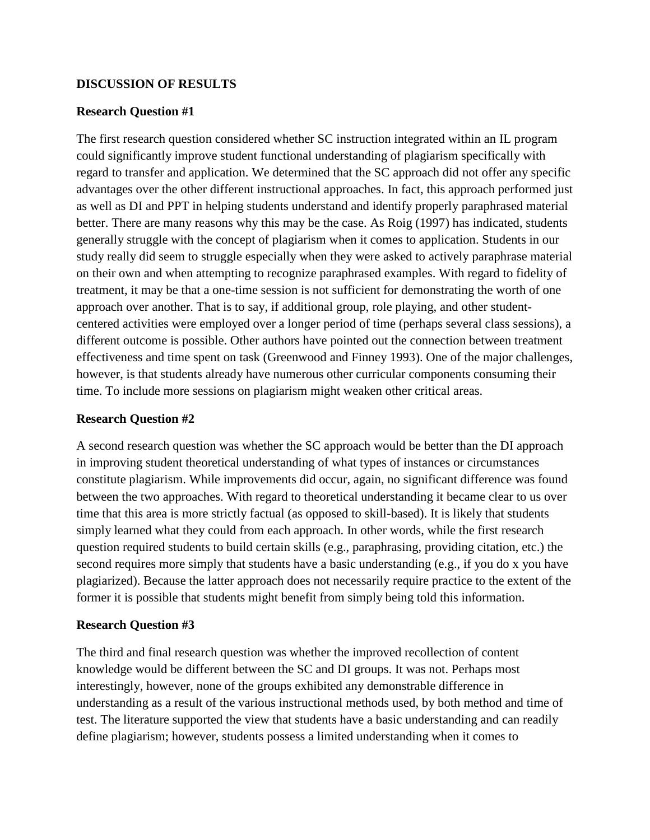#### **DISCUSSION OF RESULTS**

#### **Research Question #1**

The first research question considered whether SC instruction integrated within an IL program could significantly improve student functional understanding of plagiarism specifically with regard to transfer and application. We determined that the SC approach did not offer any specific advantages over the other different instructional approaches. In fact, this approach performed just as well as DI and PPT in helping students understand and identify properly paraphrased material better. There are many reasons why this may be the case. As Roig (1997) has indicated, students generally struggle with the concept of plagiarism when it comes to application. Students in our study really did seem to struggle especially when they were asked to actively paraphrase material on their own and when attempting to recognize paraphrased examples. With regard to fidelity of treatment, it may be that a one-time session is not sufficient for demonstrating the worth of one approach over another. That is to say, if additional group, role playing, and other studentcentered activities were employed over a longer period of time (perhaps several class sessions), a different outcome is possible. Other authors have pointed out the connection between treatment effectiveness and time spent on task (Greenwood and Finney 1993). One of the major challenges, however, is that students already have numerous other curricular components consuming their time. To include more sessions on plagiarism might weaken other critical areas.

#### **Research Question #2**

A second research question was whether the SC approach would be better than the DI approach in improving student theoretical understanding of what types of instances or circumstances constitute plagiarism. While improvements did occur, again, no significant difference was found between the two approaches. With regard to theoretical understanding it became clear to us over time that this area is more strictly factual (as opposed to skill-based). It is likely that students simply learned what they could from each approach. In other words, while the first research question required students to build certain skills (e.g., paraphrasing, providing citation, etc.) the second requires more simply that students have a basic understanding (e.g., if you do x you have plagiarized). Because the latter approach does not necessarily require practice to the extent of the former it is possible that students might benefit from simply being told this information.

#### **Research Question #3**

The third and final research question was whether the improved recollection of content knowledge would be different between the SC and DI groups. It was not. Perhaps most interestingly, however, none of the groups exhibited any demonstrable difference in understanding as a result of the various instructional methods used, by both method and time of test. The literature supported the view that students have a basic understanding and can readily define plagiarism; however, students possess a limited understanding when it comes to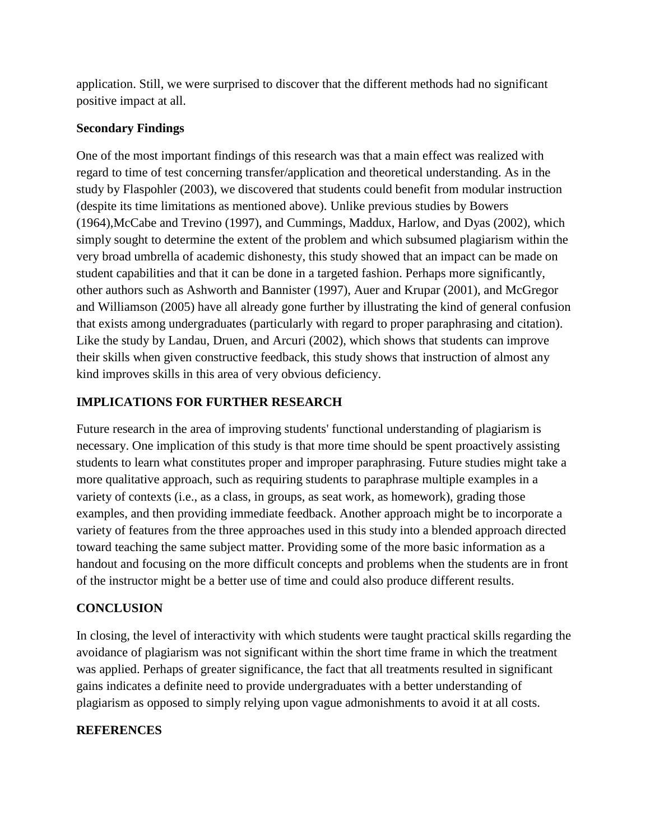application. Still, we were surprised to discover that the different methods had no significant positive impact at all.

### **Secondary Findings**

One of the most important findings of this research was that a main effect was realized with regard to time of test concerning transfer/application and theoretical understanding. As in the study by Flaspohler (2003), we discovered that students could benefit from modular instruction (despite its time limitations as mentioned above). Unlike previous studies by Bowers (1964),McCabe and Trevino (1997), and Cummings, Maddux, Harlow, and Dyas (2002), which simply sought to determine the extent of the problem and which subsumed plagiarism within the very broad umbrella of academic dishonesty, this study showed that an impact can be made on student capabilities and that it can be done in a targeted fashion. Perhaps more significantly, other authors such as Ashworth and Bannister (1997), Auer and Krupar (2001), and McGregor and Williamson (2005) have all already gone further by illustrating the kind of general confusion that exists among undergraduates (particularly with regard to proper paraphrasing and citation). Like the study by Landau, Druen, and Arcuri (2002), which shows that students can improve their skills when given constructive feedback, this study shows that instruction of almost any kind improves skills in this area of very obvious deficiency.

# **IMPLICATIONS FOR FURTHER RESEARCH**

Future research in the area of improving students' functional understanding of plagiarism is necessary. One implication of this study is that more time should be spent proactively assisting students to learn what constitutes proper and improper paraphrasing. Future studies might take a more qualitative approach, such as requiring students to paraphrase multiple examples in a variety of contexts (i.e., as a class, in groups, as seat work, as homework), grading those examples, and then providing immediate feedback. Another approach might be to incorporate a variety of features from the three approaches used in this study into a blended approach directed toward teaching the same subject matter. Providing some of the more basic information as a handout and focusing on the more difficult concepts and problems when the students are in front of the instructor might be a better use of time and could also produce different results.

# **CONCLUSION**

In closing, the level of interactivity with which students were taught practical skills regarding the avoidance of plagiarism was not significant within the short time frame in which the treatment was applied. Perhaps of greater significance, the fact that all treatments resulted in significant gains indicates a definite need to provide undergraduates with a better understanding of plagiarism as opposed to simply relying upon vague admonishments to avoid it at all costs.

### **REFERENCES**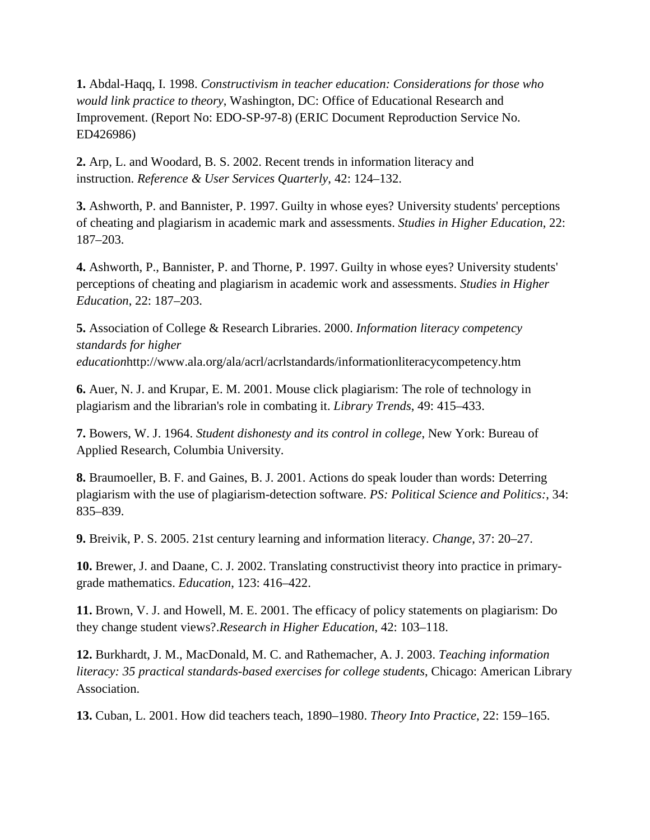**1.** Abdal-Haqq, I. 1998. *Constructivism in teacher education: Considerations for those who would link practice to theory*, Washington, DC: Office of Educational Research and Improvement. (Report No: EDO-SP-97-8) (ERIC Document Reproduction Service No. ED426986)

**2.** Arp, L. and Woodard, B. S. 2002. Recent trends in information literacy and instruction. *Reference & User Services Quarterly*, 42: 124–132.

**3.** Ashworth, P. and Bannister, P. 1997. Guilty in whose eyes? University students' perceptions of cheating and plagiarism in academic mark and assessments. *Studies in Higher Education*, 22: 187–203.

**4.** Ashworth, P., Bannister, P. and Thorne, P. 1997. Guilty in whose eyes? University students' perceptions of cheating and plagiarism in academic work and assessments. *Studies in Higher Education*, 22: 187–203.

**5.** Association of College & Research Libraries. 2000. *Information literacy competency standards for higher education*http://www.ala.org/ala/acrl/acrlstandards/informationliteracycompetency.htm

**6.** Auer, N. J. and Krupar, E. M. 2001. Mouse click plagiarism: The role of technology in plagiarism and the librarian's role in combating it. *Library Trends*, 49: 415–433.

**7.** Bowers, W. J. 1964. *Student dishonesty and its control in college*, New York: Bureau of Applied Research, Columbia University.

**8.** Braumoeller, B. F. and Gaines, B. J. 2001. Actions do speak louder than words: Deterring plagiarism with the use of plagiarism-detection software. *PS: Political Science and Politics:*, 34: 835–839.

**9.** Breivik, P. S. 2005. 21st century learning and information literacy. *Change*, 37: 20–27.

**10.** Brewer, J. and Daane, C. J. 2002. Translating constructivist theory into practice in primarygrade mathematics. *Education*, 123: 416–422.

**11.** Brown, V. J. and Howell, M. E. 2001. The efficacy of policy statements on plagiarism: Do they change student views?.*Research in Higher Education*, 42: 103–118.

**12.** Burkhardt, J. M., MacDonald, M. C. and Rathemacher, A. J. 2003. *Teaching information literacy: 35 practical standards-based exercises for college students*, Chicago: American Library Association.

**13.** Cuban, L. 2001. How did teachers teach, 1890–1980. *Theory Into Practice*, 22: 159–165.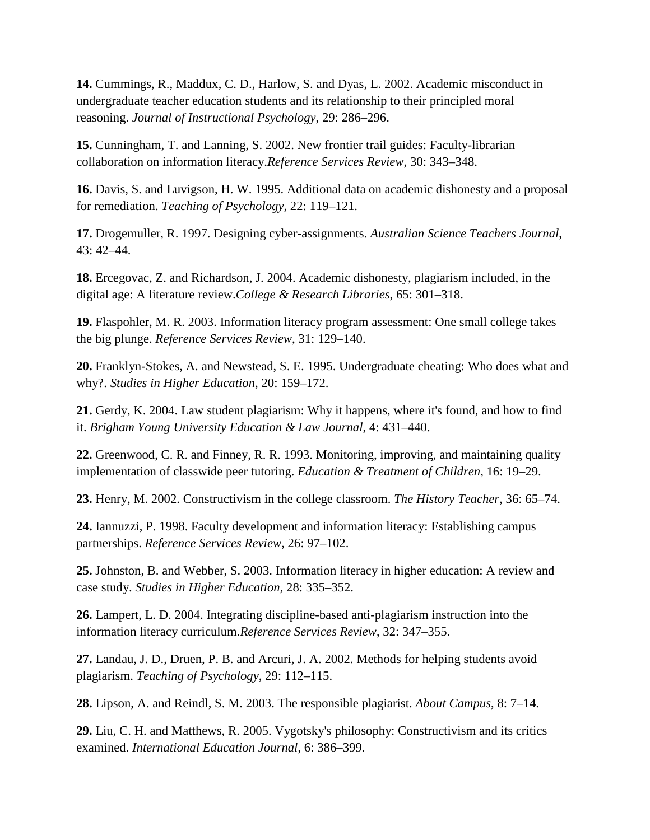**14.** Cummings, R., Maddux, C. D., Harlow, S. and Dyas, L. 2002. Academic misconduct in undergraduate teacher education students and its relationship to their principled moral reasoning. *Journal of Instructional Psychology*, 29: 286–296.

**15.** Cunningham, T. and Lanning, S. 2002. New frontier trail guides: Faculty-librarian collaboration on information literacy.*Reference Services Review*, 30: 343–348.

**16.** Davis, S. and Luvigson, H. W. 1995. Additional data on academic dishonesty and a proposal for remediation. *Teaching of Psychology*, 22: 119–121.

**17.** Drogemuller, R. 1997. Designing cyber-assignments. *Australian Science Teachers Journal*, 43: 42–44.

**18.** Ercegovac, Z. and Richardson, J. 2004. Academic dishonesty, plagiarism included, in the digital age: A literature review.*College & Research Libraries*, 65: 301–318.

**19.** Flaspohler, M. R. 2003. Information literacy program assessment: One small college takes the big plunge. *Reference Services Review*, 31: 129–140.

**20.** Franklyn-Stokes, A. and Newstead, S. E. 1995. Undergraduate cheating: Who does what and why?. *Studies in Higher Education*, 20: 159–172.

**21.** Gerdy, K. 2004. Law student plagiarism: Why it happens, where it's found, and how to find it. *Brigham Young University Education & Law Journal*, 4: 431–440.

**22.** Greenwood, C. R. and Finney, R. R. 1993. Monitoring, improving, and maintaining quality implementation of classwide peer tutoring. *Education & Treatment of Children*, 16: 19–29.

**23.** Henry, M. 2002. Constructivism in the college classroom. *The History Teacher*, 36: 65–74.

**24.** Iannuzzi, P. 1998. Faculty development and information literacy: Establishing campus partnerships. *Reference Services Review*, 26: 97–102.

**25.** Johnston, B. and Webber, S. 2003. Information literacy in higher education: A review and case study. *Studies in Higher Education*, 28: 335–352.

**26.** Lampert, L. D. 2004. Integrating discipline-based anti-plagiarism instruction into the information literacy curriculum.*Reference Services Review*, 32: 347–355.

**27.** Landau, J. D., Druen, P. B. and Arcuri, J. A. 2002. Methods for helping students avoid plagiarism. *Teaching of Psychology*, 29: 112–115.

**28.** Lipson, A. and Reindl, S. M. 2003. The responsible plagiarist. *About Campus*, 8: 7–14.

**29.** Liu, C. H. and Matthews, R. 2005. Vygotsky's philosophy: Constructivism and its critics examined. *International Education Journal*, 6: 386–399.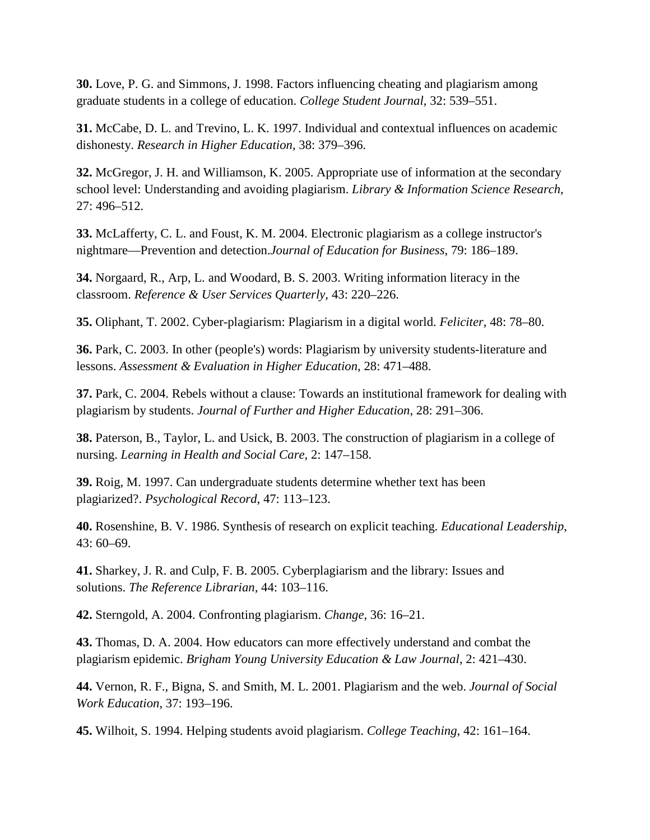**30.** Love, P. G. and Simmons, J. 1998. Factors influencing cheating and plagiarism among graduate students in a college of education. *College Student Journal*, 32: 539–551.

**31.** McCabe, D. L. and Trevino, L. K. 1997. Individual and contextual influences on academic dishonesty. *Research in Higher Education*, 38: 379–396.

**32.** McGregor, J. H. and Williamson, K. 2005. Appropriate use of information at the secondary school level: Understanding and avoiding plagiarism. *Library & Information Science Research*, 27: 496–512.

**33.** McLafferty, C. L. and Foust, K. M. 2004. Electronic plagiarism as a college instructor's nightmare—Prevention and detection.*Journal of Education for Business*, 79: 186–189.

**34.** Norgaard, R., Arp, L. and Woodard, B. S. 2003. Writing information literacy in the classroom. *Reference & User Services Quarterly*, 43: 220–226.

**35.** Oliphant, T. 2002. Cyber-plagiarism: Plagiarism in a digital world. *Feliciter*, 48: 78–80.

**36.** Park, C. 2003. In other (people's) words: Plagiarism by university students-literature and lessons. *Assessment & Evaluation in Higher Education*, 28: 471–488.

**37.** Park, C. 2004. Rebels without a clause: Towards an institutional framework for dealing with plagiarism by students. *Journal of Further and Higher Education*, 28: 291–306.

**38.** Paterson, B., Taylor, L. and Usick, B. 2003. The construction of plagiarism in a college of nursing. *Learning in Health and Social Care*, 2: 147–158.

**39.** Roig, M. 1997. Can undergraduate students determine whether text has been plagiarized?. *Psychological Record*, 47: 113–123.

**40.** Rosenshine, B. V. 1986. Synthesis of research on explicit teaching. *Educational Leadership*, 43: 60–69.

**41.** Sharkey, J. R. and Culp, F. B. 2005. Cyberplagiarism and the library: Issues and solutions. *The Reference Librarian*, 44: 103–116.

**42.** Sterngold, A. 2004. Confronting plagiarism. *Change*, 36: 16–21.

**43.** Thomas, D. A. 2004. How educators can more effectively understand and combat the plagiarism epidemic. *Brigham Young University Education & Law Journal*, 2: 421–430.

**44.** Vernon, R. F., Bigna, S. and Smith, M. L. 2001. Plagiarism and the web. *Journal of Social Work Education*, 37: 193–196.

**45.** Wilhoit, S. 1994. Helping students avoid plagiarism. *College Teaching*, 42: 161–164.